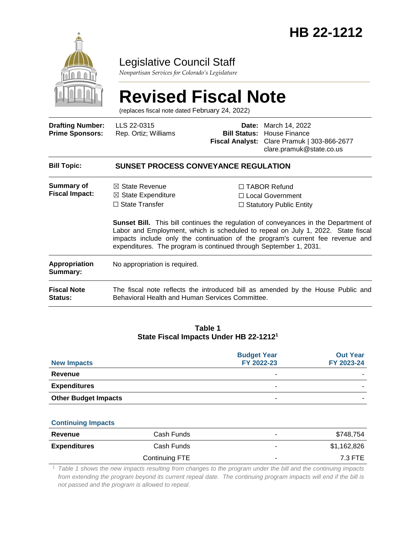

### Legislative Council Staff

*Nonpartisan Services for Colorado's Legislature*

# **Revised Fiscal Note**

(replaces fiscal note dated February 24, 2022)

| <b>Drafting Number:</b><br><b>Prime Sponsors:</b> | LLS 22-0315<br>Rep. Ortiz; Williams                                                                                                                                                                                                                                                                                                   | Date:                                                                       | March 14, 2022<br><b>Bill Status:</b> House Finance<br>Fiscal Analyst: Clare Pramuk   303-866-2677<br>clare.pramuk@state.co.us |  |  |
|---------------------------------------------------|---------------------------------------------------------------------------------------------------------------------------------------------------------------------------------------------------------------------------------------------------------------------------------------------------------------------------------------|-----------------------------------------------------------------------------|--------------------------------------------------------------------------------------------------------------------------------|--|--|
| <b>Bill Topic:</b>                                | <b>SUNSET PROCESS CONVEYANCE REGULATION</b>                                                                                                                                                                                                                                                                                           |                                                                             |                                                                                                                                |  |  |
| Summary of<br><b>Fiscal Impact:</b>               | $\boxtimes$ State Revenue<br>$\boxtimes$ State Expenditure<br>$\Box$ State Transfer                                                                                                                                                                                                                                                   | $\Box$ TABOR Refund<br>□ Local Government<br>$\Box$ Statutory Public Entity |                                                                                                                                |  |  |
|                                                   | <b>Sunset Bill.</b> This bill continues the regulation of conveyances in the Department of<br>Labor and Employment, which is scheduled to repeal on July 1, 2022. State fiscal<br>impacts include only the continuation of the program's current fee revenue and<br>expenditures. The program is continued through September 1, 2031. |                                                                             |                                                                                                                                |  |  |
| <b>Appropriation</b><br>Summary:                  | No appropriation is required.                                                                                                                                                                                                                                                                                                         |                                                                             |                                                                                                                                |  |  |
| <b>Fiscal Note</b><br><b>Status:</b>              | The fiscal note reflects the introduced bill as amended by the House Public and<br>Behavioral Health and Human Services Committee.                                                                                                                                                                                                    |                                                                             |                                                                                                                                |  |  |
|                                                   |                                                                                                                                                                                                                                                                                                                                       |                                                                             |                                                                                                                                |  |  |

#### **Table 1 State Fiscal Impacts Under HB 22-1212<sup>1</sup>**

| <b>New Impacts</b>          | <b>Budget Year</b><br>FY 2022-23 | <b>Out Year</b><br>FY 2023-24 |
|-----------------------------|----------------------------------|-------------------------------|
| Revenue                     | -                                |                               |
| <b>Expenditures</b>         | ۰                                |                               |
| <b>Other Budget Impacts</b> |                                  |                               |

#### **Continuing Impacts**

| Revenue             | Cash Funds     | ۰ | \$748,754   |
|---------------------|----------------|---|-------------|
| <b>Expenditures</b> | Cash Funds     | ۰ | \$1,162,826 |
|                     | Continuing FTE | ۰ | 7.3 FTE     |

<sup>1</sup> *Table 1 shows the new impacts resulting from changes to the program under the bill and the continuing impacts from extending the program beyond its current repeal date. The continuing program impacts will end if the bill is not passed and the program is allowed to repeal.*